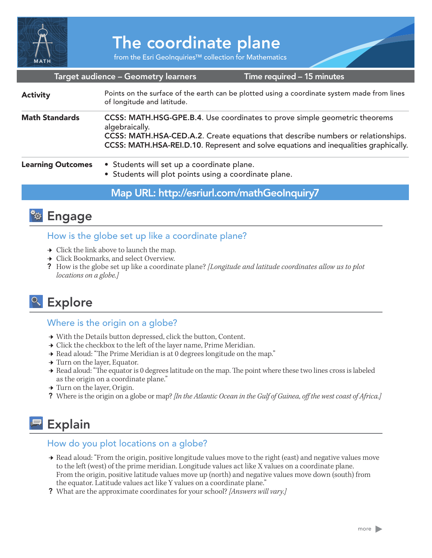

# The coordinate plane

from the Esri GeoInquiries™ collection for Mathematics

#### Target audience – Geometry learners

Time required – 15 minutes

| <b>Activity</b>          | Points on the surface of the earth can be plotted using a coordinate system made from lines<br>of longitude and latitude.                                                                                                                                                |
|--------------------------|--------------------------------------------------------------------------------------------------------------------------------------------------------------------------------------------------------------------------------------------------------------------------|
| <b>Math Standards</b>    | CCSS: MATH.HSG-GPE.B.4. Use coordinates to prove simple geometric theorems<br>algebraically.<br>CCSS: MATH.HSA-CED.A.2. Create equations that describe numbers or relationships.<br>CCSS: MATH.HSA-REI.D.10. Represent and solve equations and inequalities graphically. |
| <b>Learning Outcomes</b> | • Students will set up a coordinate plane.<br>• Students will plot points using a coordinate plane.                                                                                                                                                                      |

Map URL: http://esriurl.com/mathGeoInquiry7



### How is the globe set up like a coordinate plane?

- $\rightarrow$  Click the link above to launch the map.
- **→** Click Bookmarks, and select Overview.
- ? How is the globe set up like a coordinate plane? *[Longitude and latitude coordinates allow us to plot locations on a globe.]*

# <sup>o</sup> Explore

### Where is the origin on a globe?

- → With the Details button depressed, click the button, Content.
- $\rightarrow$  Click the checkbox to the left of the layer name, Prime Meridian.
- → Read aloud: "The Prime Meridian is at 0 degrees longitude on the map."
- $\rightarrow$  Turn on the layer, Equator.
- → Read aloud: "The equator is 0 degrees latitude on the map. The point where these two lines cross is labeled as the origin on a coordinate plane."
- → Turn on the layer, Origin.
- ? Where is the origin on a globe or map? *[In the Atlantic Ocean in the Gulf of Guinea, off the west coast of Africa.]*

# Explain

### How do you plot locations on a globe?

- ʅ Read aloud: "From the origin, positive longitude values move to the right (east) and negative values move to the left (west) of the prime meridian. Longitude values act like X values on a coordinate plane. From the origin, positive latitude values move up (north) and negative values move down (south) from the equator. Latitude values act like Y values on a coordinate plane."
- ? What are the approximate coordinates for your school? *[Answers will vary.]*